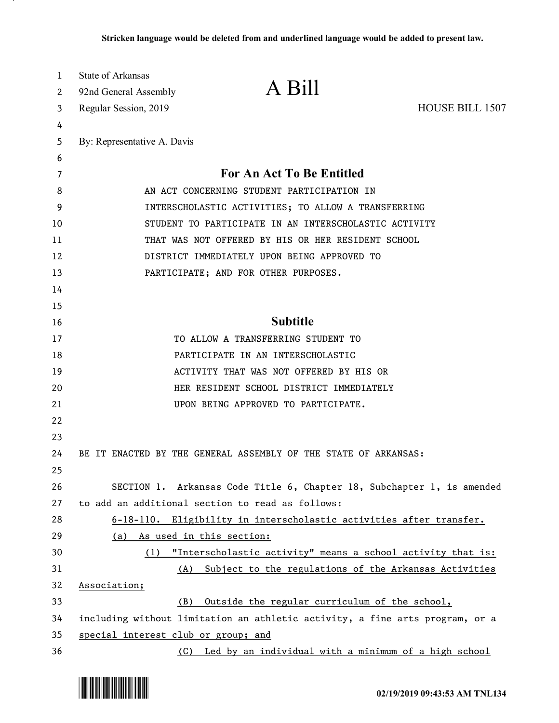| 1<br>2 | <b>State of Arkansas</b><br>92nd General Assembly     | A Bill                                                                       |                        |
|--------|-------------------------------------------------------|------------------------------------------------------------------------------|------------------------|
| 3      | Regular Session, 2019                                 |                                                                              | <b>HOUSE BILL 1507</b> |
| 4      |                                                       |                                                                              |                        |
| 5      | By: Representative A. Davis                           |                                                                              |                        |
| 6      |                                                       |                                                                              |                        |
| 7      |                                                       | <b>For An Act To Be Entitled</b>                                             |                        |
| 8      | AN ACT CONCERNING STUDENT PARTICIPATION IN            |                                                                              |                        |
| 9      | INTERSCHOLASTIC ACTIVITIES; TO ALLOW A TRANSFERRING   |                                                                              |                        |
| 10     | STUDENT TO PARTICIPATE IN AN INTERSCHOLASTIC ACTIVITY |                                                                              |                        |
| 11     | THAT WAS NOT OFFERED BY HIS OR HER RESIDENT SCHOOL    |                                                                              |                        |
| 12     | DISTRICT IMMEDIATELY UPON BEING APPROVED TO           |                                                                              |                        |
| 13     |                                                       | PARTICIPATE; AND FOR OTHER PURPOSES.                                         |                        |
| 14     |                                                       |                                                                              |                        |
| 15     |                                                       |                                                                              |                        |
| 16     |                                                       | <b>Subtitle</b>                                                              |                        |
| 17     |                                                       | TO ALLOW A TRANSFERRING STUDENT TO                                           |                        |
| 18     |                                                       | PARTICIPATE IN AN INTERSCHOLASTIC                                            |                        |
| 19     |                                                       | ACTIVITY THAT WAS NOT OFFERED BY HIS OR                                      |                        |
| 20     |                                                       | HER RESIDENT SCHOOL DISTRICT IMMEDIATELY                                     |                        |
| 21     |                                                       | UPON BEING APPROVED TO PARTICIPATE.                                          |                        |
| 22     |                                                       |                                                                              |                        |
| 23     |                                                       |                                                                              |                        |
| 24     |                                                       | BE IT ENACTED BY THE GENERAL ASSEMBLY OF THE STATE OF ARKANSAS:              |                        |
| 25     |                                                       |                                                                              |                        |
| 26     |                                                       | SECTION 1. Arkansas Code Title 6, Chapter 18, Subchapter 1, is amended       |                        |
| 27     |                                                       | to add an additional section to read as follows:                             |                        |
| 28     |                                                       | 6-18-110. Eligibility in interscholastic activities after transfer.          |                        |
| 29     | (a)                                                   | As used in this section:                                                     |                        |
| 30     | (1)                                                   | "Interscholastic activity" means a school activity that is:                  |                        |
| 31     | (A)                                                   | Subject to the regulations of the Arkansas Activities                        |                        |
| 32     | Association;                                          |                                                                              |                        |
| 33     | (B)                                                   | Outside the regular curriculum of the school,                                |                        |
| 34     |                                                       | including without limitation an athletic activity, a fine arts program, or a |                        |
| 35     | special interest club or group; and                   |                                                                              |                        |
| 36     | (C)                                                   | Led by an individual with a minimum of a high school                         |                        |